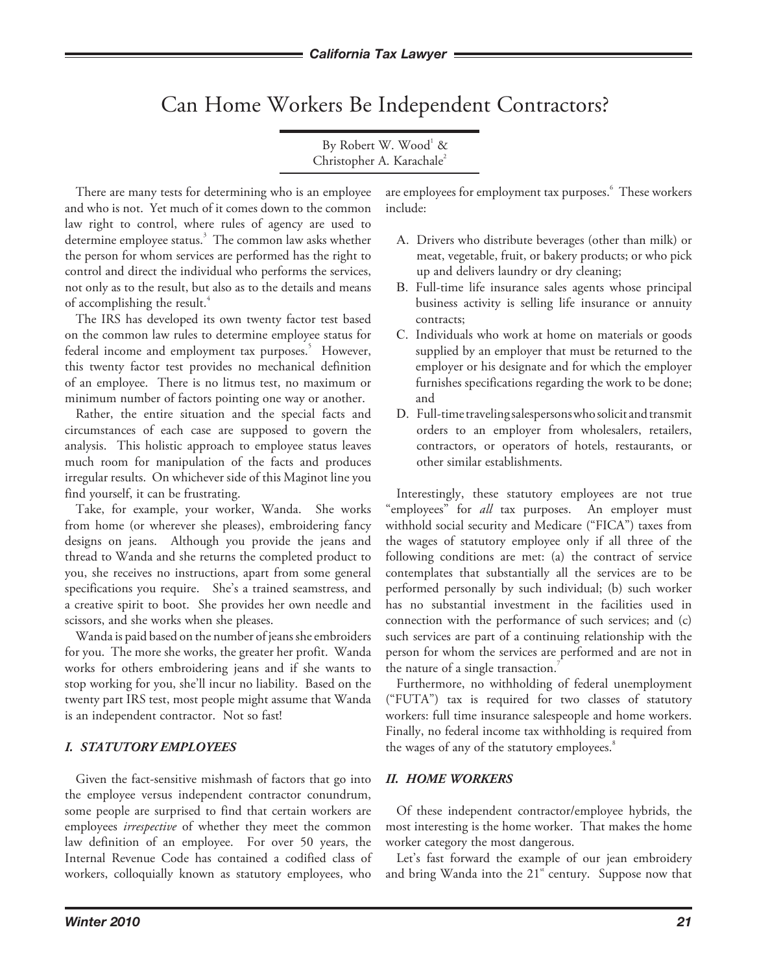# Can Home Workers Be Independent Contractors?

By Robert W. Wood<sup>1</sup> & Christopher A. Karachale<sup>2</sup>

There are many tests for determining who is an employee and who is not. Yet much of it comes down to the common law right to control, where rules of agency are used to determine employee status.<sup>3</sup> The common law asks whether the person for whom services are performed has the right to control and direct the individual who performs the services, not only as to the result, but also as to the details and means of accomplishing the result.<sup>4</sup>

The IRS has developed its own twenty factor test based on the common law rules to determine employee status for federal income and employment tax purposes.<sup>5</sup> However, this twenty factor test provides no mechanical definition of an employee. There is no litmus test, no maximum or minimum number of factors pointing one way or another.

Rather, the entire situation and the special facts and circumstances of each case are supposed to govern the analysis. This holistic approach to employee status leaves much room for manipulation of the facts and produces irregular results. On whichever side of this Maginot line you find yourself, it can be frustrating.

Take, for example, your worker, Wanda. She works from home (or wherever she pleases), embroidering fancy designs on jeans. Although you provide the jeans and thread to Wanda and she returns the completed product to you, she receives no instructions, apart from some general specifications you require. She's a trained seamstress, and a creative spirit to boot. She provides her own needle and scissors, and she works when she pleases.

Wanda is paid based on the number of jeans she embroiders for you. The more she works, the greater her profit. Wanda works for others embroidering jeans and if she wants to stop working for you, she'll incur no liability. Based on the twenty part IRS test, most people might assume that Wanda is an independent contractor. Not so fast!

## *I. STATUTORY EMPLOYEES*

Given the fact-sensitive mishmash of factors that go into the employee versus independent contractor conundrum, some people are surprised to find that certain workers are employees *irrespective* of whether they meet the common law definition of an employee. For over 50 years, the Internal Revenue Code has contained a codified class of workers, colloquially known as statutory employees, who

are employees for employment tax purposes.  $\hat{\ }$  These workers include:

- A.Drivers who distribute beverages (other than milk) or meat, vegetable, fruit, or bakery products; or who pick up and delivers laundry or dry cleaning;
- B.Full-time life insurance sales agents whose principal business activity is selling life insurance or annuity contracts;
- C.Individuals who work at home on materials or goods supplied by an employer that must be returned to the employer or his designate and for which the employer furnishes specifications regarding the work to be done; and
- D.Full-time traveling salespersons who solicit and transmit orders to an employer from wholesalers, retailers, contractors, or operators of hotels, restaurants, or other similar establishments.

Interestingly, these statutory employees are not true "employees" for *all* tax purposes. An employer must withhold social security and Medicare ("FICA") taxes from the wages of statutory employee only if all three of the following conditions are met: (a) the contract of service contemplates that substantially all the services are to be performed personally by such individual; (b) such worker has no substantial investment in the facilities used in connection with the performance of such services; and (c) such services are part of a continuing relationship with the person for whom the services are performed and are not in the nature of a single transaction.<sup>7</sup>

Furthermore, no withholding of federal unemployment ("FUTA") tax is required for two classes of statutory workers: full time insurance salespeople and home workers. Finally, no federal income tax withholding is required from the wages of any of the statutory employees.<sup>8</sup>

#### *II. HOME WORKERS*

Of these independent contractor/employee hybrids, the most interesting is the home worker. That makes the home worker category the most dangerous.

Let's fast forward the example of our jean embroidery and bring Wanda into the 21<sup>st</sup> century. Suppose now that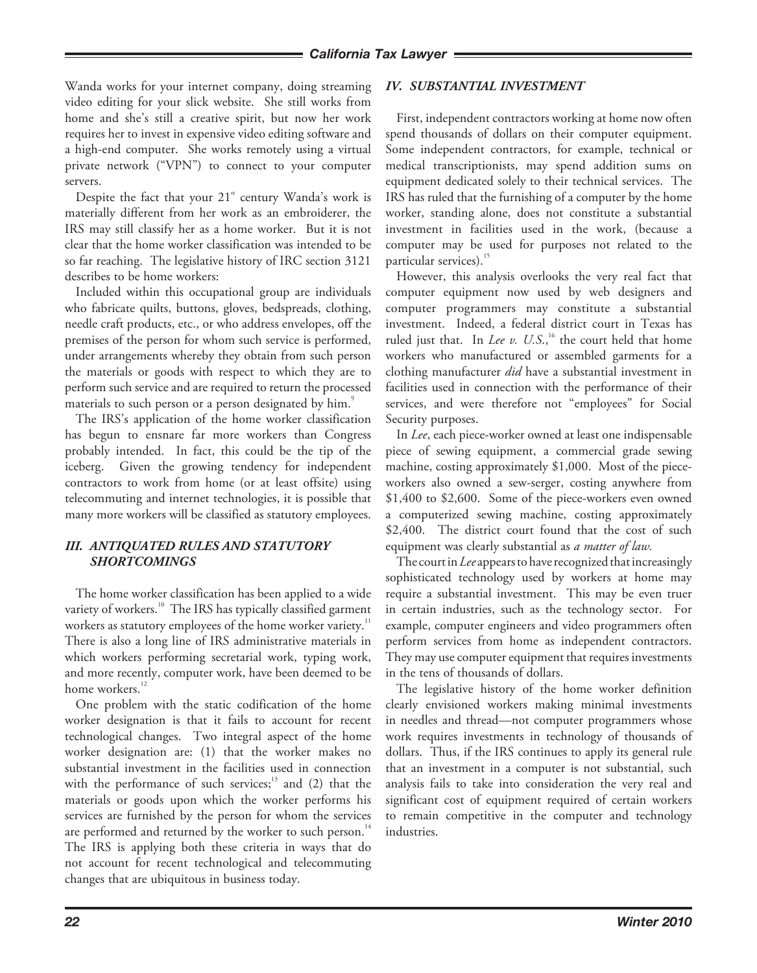Wanda works for your internet company, doing streaming video editing for your slick website. She still works from home and she's still a creative spirit, but now her work requires her to invest in expensive video editing software and a high-end computer. She works remotely using a virtual private network ("VPN") to connect to your computer servers.

Despite the fact that your  $21<sup>st</sup>$  century Wanda's work is materially different from her work as an embroiderer, the IRS may still classify her as a home worker. But it is not clear that the home worker classification was intended to be so far reaching. The legislative history of IRC section 3121 describes to be home workers:

Included within this occupational group are individuals who fabricate quilts, buttons, gloves, bedspreads, clothing, needle craft products, etc., or who address envelopes, off the premises of the person for whom such service is performed, under arrangements whereby they obtain from such person the materials or goods with respect to which they are to perform such service and are required to return the processed materials to such person or a person designated by him.<sup>9</sup>

The IRS's application of the home worker classification has begun to ensnare far more workers than Congress probably intended. In fact, this could be the tip of the iceberg. Given the growing tendency for independent contractors to work from home (or at least offsite) using telecommuting and internet technologies, it is possible that many more workers will be classified as statutory employees.

## *III. ANTIqUATED RULES AND STATUTORY SHORTCOMINGS*

The home worker classification has been applied to a wide variety of workers.<sup>10</sup> The IRS has typically classified garment workers as statutory employees of the home worker variety. $^{11}$ There is also a long line of IRS administrative materials in which workers performing secretarial work, typing work, and more recently, computer work, have been deemed to be home workers.<sup>12</sup>

One problem with the static codification of the home worker designation is that it fails to account for recent technological changes. Two integral aspect of the home worker designation are: (1) that the worker makes no substantial investment in the facilities used in connection with the performance of such services; $13$  and (2) that the materials or goods upon which the worker performs his services are furnished by the person for whom the services are performed and returned by the worker to such person.<sup>14</sup> The IRS is applying both these criteria in ways that do not account for recent technological and telecommuting changes that are ubiquitous in business today.

#### *IV. SUBSTANTIAL INVESTMENT*

First, independent contractors working at home now often spend thousands of dollars on their computer equipment. Some independent contractors, for example, technical or medical transcriptionists, may spend addition sums on equipment dedicated solely to their technical services. The IRS has ruled that the furnishing of a computer by the home worker, standing alone, does not constitute a substantial investment in facilities used in the work, (because a computer may be used for purposes not related to the particular services).<sup>15</sup>

However, this analysis overlooks the very real fact that computer equipment now used by web designers and computer programmers may constitute a substantial investment. Indeed, a federal district court in Texas has ruled just that. In *Lee v. U.S.*,<sup>16</sup> the court held that home workers who manufactured or assembled garments for a clothing manufacturer *did* have a substantial investment in facilities used in connection with the performance of their services, and were therefore not "employees" for Social Security purposes.

In *Lee*, each piece-worker owned at least one indispensable piece of sewing equipment, a commercial grade sewing machine, costing approximately \$1,000. Most of the pieceworkers also owned a sew-serger, costing anywhere from \$1,400 to \$2,600. Some of the piece-workers even owned a computerized sewing machine, costing approximately \$2,400. The district court found that the cost of such equipment was clearly substantial as *a matter of law.*

The court in *Lee* appears to have recognized that increasingly sophisticated technology used by workers at home may require a substantial investment. This may be even truer in certain industries, such as the technology sector. For example, computer engineers and video programmers often perform services from home as independent contractors. They may use computer equipment that requires investments in the tens of thousands of dollars.

The legislative history of the home worker definition clearly envisioned workers making minimal investments in needles and thread—not computer programmers whose work requires investments in technology of thousands of dollars. Thus, if the IRS continues to apply its general rule that an investment in a computer is not substantial, such analysis fails to take into consideration the very real and significant cost of equipment required of certain workers to remain competitive in the computer and technology industries.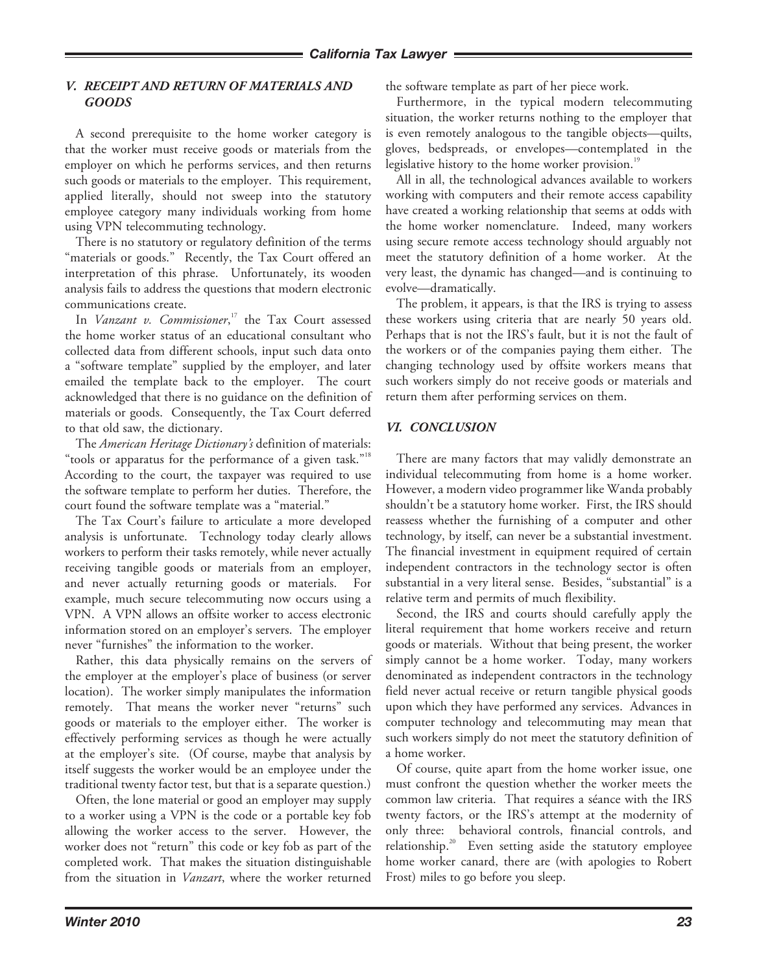#### *V. RECEIPT AND RETURN OF MATERIALS AND GOODS*

A second prerequisite to the home worker category is that the worker must receive goods or materials from the employer on which he performs services, and then returns such goods or materials to the employer. This requirement, applied literally, should not sweep into the statutory employee category many individuals working from home using VPN telecommuting technology.

There is no statutory or regulatory definition of the terms "materials or goods." Recently, the Tax Court offered an interpretation of this phrase. Unfortunately, its wooden analysis fails to address the questions that modern electronic communications create.

In *Vanzant v. Commissioner*, 17 the Tax Court assessed the home worker status of an educational consultant who collected data from different schools, input such data onto a "software template" supplied by the employer, and later emailed the template back to the employer. The court acknowledged that there is no guidance on the definition of materials or goods. Consequently, the Tax Court deferred to that old saw, the dictionary.

The *American Heritage Dictionary's* definition of materials: "tools or apparatus for the performance of a given task."<sup>18</sup> According to the court, the taxpayer was required to use the software template to perform her duties. Therefore, the court found the software template was a "material."

The Tax Court's failure to articulate a more developed analysis is unfortunate. Technology today clearly allows workers to perform their tasks remotely, while never actually receiving tangible goods or materials from an employer, and never actually returning goods or materials. For example, much secure telecommuting now occurs using a VPN. A VPN allows an offsite worker to access electronic information stored on an employer's servers. The employer never "furnishes" the information to the worker.

Rather, this data physically remains on the servers of the employer at the employer's place of business (or server location). The worker simply manipulates the information remotely. That means the worker never "returns" such goods or materials to the employer either. The worker is effectively performing services as though he were actually at the employer's site. (Of course, maybe that analysis by itself suggests the worker would be an employee under the traditional twenty factor test, but that is a separate question.)

Often, the lone material or good an employer may supply to a worker using a VPN is the code or a portable key fob allowing the worker access to the server. However, the worker does not "return" this code or key fob as part of the completed work. That makes the situation distinguishable from the situation in *Vanzart*, where the worker returned

the software template as part of her piece work.

Furthermore, in the typical modern telecommuting situation, the worker returns nothing to the employer that is even remotely analogous to the tangible objects—quilts, gloves, bedspreads, or envelopes—contemplated in the legislative history to the home worker provision.<sup>19</sup>

All in all, the technological advances available to workers working with computers and their remote access capability have created a working relationship that seems at odds with the home worker nomenclature. Indeed, many workers using secure remote access technology should arguably not meet the statutory definition of a home worker. At the very least, the dynamic has changed—and is continuing to evolve—dramatically.

The problem, it appears, is that the IRS is trying to assess these workers using criteria that are nearly 50 years old. Perhaps that is not the IRS's fault, but it is not the fault of the workers or of the companies paying them either. The changing technology used by offsite workers means that such workers simply do not receive goods or materials and return them after performing services on them.

#### *VI. CONCLUSION*

There are many factors that may validly demonstrate an individual telecommuting from home is a home worker. However, a modern video programmer like Wanda probably shouldn't be a statutory home worker. First, the IRS should reassess whether the furnishing of a computer and other technology, by itself, can never be a substantial investment. The financial investment in equipment required of certain independent contractors in the technology sector is often substantial in a very literal sense. Besides, "substantial" is a relative term and permits of much flexibility.

Second, the IRS and courts should carefully apply the literal requirement that home workers receive and return goods or materials. Without that being present, the worker simply cannot be a home worker. Today, many workers denominated as independent contractors in the technology field never actual receive or return tangible physical goods upon which they have performed any services. Advances in computer technology and telecommuting may mean that such workers simply do not meet the statutory definition of a home worker.

Of course, quite apart from the home worker issue, one must confront the question whether the worker meets the common law criteria. That requires a séance with the IRS twenty factors, or the IRS's attempt at the modernity of only three: behavioral controls, financial controls, and relationship.<sup>20</sup> Even setting aside the statutory employee home worker canard, there are (with apologies to Robert Frost) miles to go before you sleep.